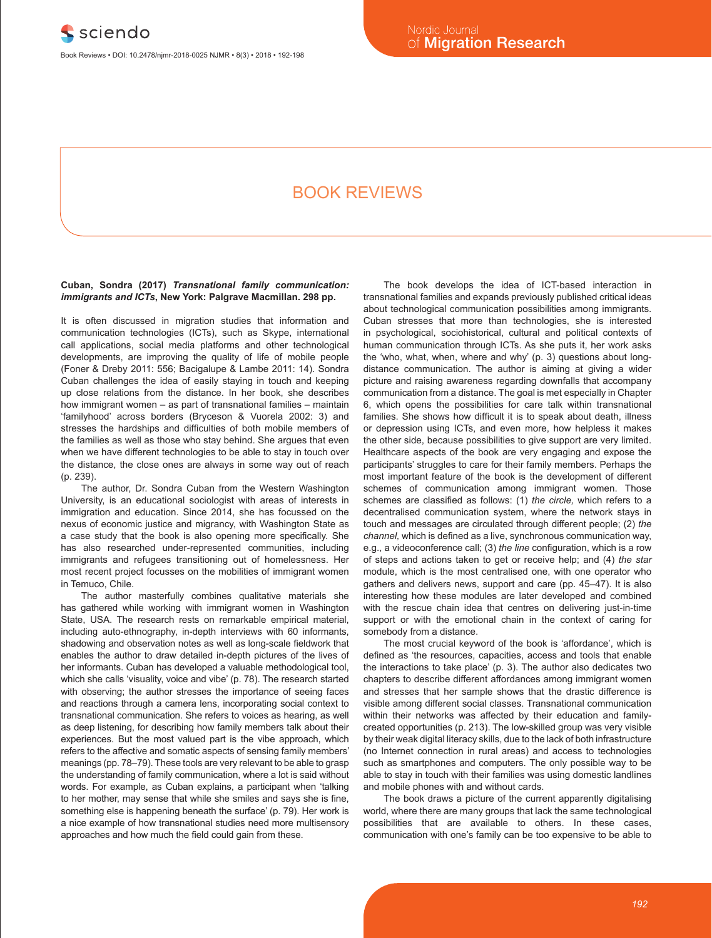# Book reviews

# **Cuban, Sondra (2017)** *Transnational family communication: immigrants and ICTs***, New York: Palgrave Macmillan. 298 pp.**

It is often discussed in migration studies that information and communication technologies (ICTs), such as Skype, international call applications, social media platforms and other technological developments, are improving the quality of life of mobile people (Foner & Dreby 2011: 556; Bacigalupe & Lambe 2011: 14). Sondra Cuban challenges the idea of easily staying in touch and keeping up close relations from the distance. In her book, she describes how immigrant women – as part of transnational families – maintain 'familyhood' across borders (Bryceson & Vuorela 2002: 3) and stresses the hardships and difficulties of both mobile members of the families as well as those who stay behind. She argues that even when we have different technologies to be able to stay in touch over the distance, the close ones are always in some way out of reach  $(n. 239)$ 

The author, Dr. Sondra Cuban from the Western Washington University, is an educational sociologist with areas of interests in immigration and education. Since 2014, she has focussed on the nexus of economic justice and migrancy, with Washington State as a case study that the book is also opening more specifically. She has also researched under-represented communities, including immigrants and refugees transitioning out of homelessness. Her most recent project focusses on the mobilities of immigrant women in Temuco, Chile.

The author masterfully combines qualitative materials she has gathered while working with immigrant women in Washington State, USA. The research rests on remarkable empirical material, including auto-ethnography, in-depth interviews with 60 informants, shadowing and observation notes as well as long-scale fieldwork that enables the author to draw detailed in-depth pictures of the lives of her informants. Cuban has developed a valuable methodological tool, which she calls 'visuality, voice and vibe' (p. 78). The research started with observing; the author stresses the importance of seeing faces and reactions through a camera lens, incorporating social context to transnational communication. She refers to voices as hearing, as well as deep listening, for describing how family members talk about their experiences. But the most valued part is the vibe approach, which refers to the affective and somatic aspects of sensing family members' meanings (pp. 78–79). These tools are very relevant to be able to grasp the understanding of family communication, where a lot is said without words. For example, as Cuban explains, a participant when 'talking to her mother, may sense that while she smiles and says she is fine, something else is happening beneath the surface' (p. 79). Her work is a nice example of how transnational studies need more multisensory approaches and how much the field could gain from these.

The book develops the idea of ICT-based interaction in transnational families and expands previously published critical ideas about technological communication possibilities among immigrants. Cuban stresses that more than technologies, she is interested in psychological, sociohistorical, cultural and political contexts of human communication through ICTs. As she puts it, her work asks the 'who, what, when, where and why' (p. 3) questions about longdistance communication. The author is aiming at giving a wider picture and raising awareness regarding downfalls that accompany communication from a distance. The goal is met especially in Chapter 6, which opens the possibilities for care talk within transnational families. She shows how difficult it is to speak about death, illness or depression using ICTs, and even more, how helpless it makes the other side, because possibilities to give support are very limited. Healthcare aspects of the book are very engaging and expose the participants' struggles to care for their family members. Perhaps the most important feature of the book is the development of different schemes of communication among immigrant women. Those schemes are classified as follows: (1) *the circle,* which refers to a decentralised communication system, where the network stays in touch and messages are circulated through different people; (2) *the channel,* which is defined as a live, synchronous communication way, e.g., a videoconference call; (3) *the line* configuration, which is a row of steps and actions taken to get or receive help; and (4) *the star* module, which is the most centralised one, with one operator who gathers and delivers news, support and care (pp. 45–47). It is also interesting how these modules are later developed and combined with the rescue chain idea that centres on delivering just-in-time support or with the emotional chain in the context of caring for somebody from a distance.

The most crucial keyword of the book is 'affordance', which is defined as 'the resources, capacities, access and tools that enable the interactions to take place' (p. 3). The author also dedicates two chapters to describe different affordances among immigrant women and stresses that her sample shows that the drastic difference is visible among different social classes. Transnational communication within their networks was affected by their education and familycreated opportunities (p. 213). The low-skilled group was very visible by their weak digital literacy skills, due to the lack of both infrastructure (no Internet connection in rural areas) and access to technologies such as smartphones and computers. The only possible way to be able to stay in touch with their families was using domestic landlines and mobile phones with and without cards.

The book draws a picture of the current apparently digitalising world, where there are many groups that lack the same technological possibilities that are available to others. In these cases, communication with one's family can be too expensive to be able to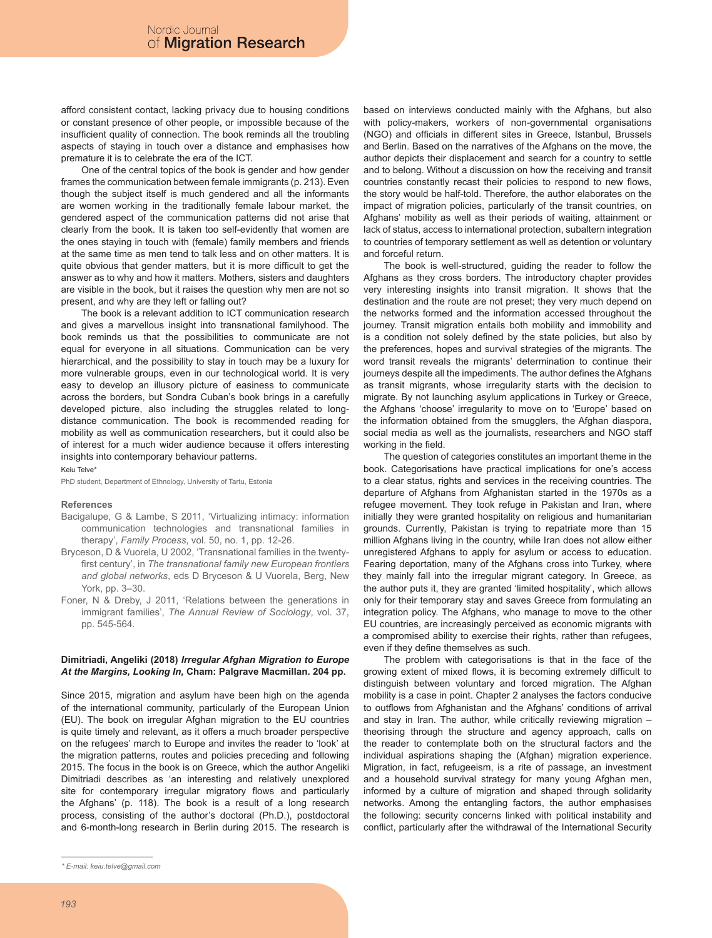afford consistent contact, lacking privacy due to housing conditions or constant presence of other people, or impossible because of the insufficient quality of connection. The book reminds all the troubling aspects of staying in touch over a distance and emphasises how premature it is to celebrate the era of the ICT.

One of the central topics of the book is gender and how gender frames the communication between female immigrants (p. 213). Even though the subject itself is much gendered and all the informants are women working in the traditionally female labour market, the gendered aspect of the communication patterns did not arise that clearly from the book. It is taken too self-evidently that women are the ones staying in touch with (female) family members and friends at the same time as men tend to talk less and on other matters. It is quite obvious that gender matters, but it is more difficult to get the answer as to why and how it matters. Mothers, sisters and daughters are visible in the book, but it raises the question why men are not so present, and why are they left or falling out?

The book is a relevant addition to ICT communication research and gives a marvellous insight into transnational familyhood. The book reminds us that the possibilities to communicate are not equal for everyone in all situations. Communication can be very hierarchical, and the possibility to stay in touch may be a luxury for more vulnerable groups, even in our technological world. It is very easy to develop an illusory picture of easiness to communicate across the borders, but Sondra Cuban's book brings in a carefully developed picture, also including the struggles related to longdistance communication. The book is recommended reading for mobility as well as communication researchers, but it could also be of interest for a much wider audience because it offers interesting insights into contemporary behaviour patterns.

#### Keiu Telve\*

PhD student, Department of Ethnology, University of Tartu, Estonia

#### **References**

- Bacigalupe, G & Lambe, S 2011, 'Virtualizing intimacy: information communication technologies and transnational families in therapy', *Family Process*, vol. 50, no. 1, pp. 12-26.
- Bryceson, D & Vuorela, U 2002, 'Transnational families in the twentyfirst century', in *The transnational family new European frontiers and global networks*, eds D Bryceson & U Vuorela, Berg, New York, pp. 3–30.
- Foner, N & Dreby, J 2011, 'Relations between the generations in immigrant families', *The Annual Review of Sociology*, vol. 37, pp. 545-564.

# **Dimitriadi, Angeliki (2018)** *Irregular Afghan Migration to Europe At the Margins, Looking In,* **Cham: Palgrave Macmillan. 204 pp.**

Since 2015, migration and asylum have been high on the agenda of the international community, particularly of the European Union (EU). The book on irregular Afghan migration to the EU countries is quite timely and relevant, as it offers a much broader perspective on the refugees' march to Europe and invites the reader to 'look' at the migration patterns, routes and policies preceding and following 2015. The focus in the book is on Greece, which the author Angeliki Dimitriadi describes as 'an interesting and relatively unexplored site for contemporary irregular migratory flows and particularly the Afghans' (p. 118). The book is a result of a long research process, consisting of the author's doctoral (Ph.D.), postdoctoral and 6-month-long research in Berlin during 2015. The research is

based on interviews conducted mainly with the Afghans, but also with policy-makers, workers of non-governmental organisations (NGO) and officials in different sites in Greece, Istanbul, Brussels and Berlin. Based on the narratives of the Afghans on the move, the author depicts their displacement and search for a country to settle and to belong. Without a discussion on how the receiving and transit countries constantly recast their policies to respond to new flows, the story would be half-told. Therefore, the author elaborates on the impact of migration policies, particularly of the transit countries, on Afghans' mobility as well as their periods of waiting, attainment or lack of status, access to international protection, subaltern integration to countries of temporary settlement as well as detention or voluntary and forceful return.

The book is well-structured, guiding the reader to follow the Afghans as they cross borders. The introductory chapter provides very interesting insights into transit migration. It shows that the destination and the route are not preset; they very much depend on the networks formed and the information accessed throughout the journey. Transit migration entails both mobility and immobility and is a condition not solely defined by the state policies, but also by the preferences, hopes and survival strategies of the migrants. The word transit reveals the migrants' determination to continue their journeys despite all the impediments. The author defines the Afghans as transit migrants, whose irregularity starts with the decision to migrate. By not launching asylum applications in Turkey or Greece, the Afghans 'choose' irregularity to move on to 'Europe' based on the information obtained from the smugglers, the Afghan diaspora, social media as well as the journalists, researchers and NGO staff working in the field.

The question of categories constitutes an important theme in the book. Categorisations have practical implications for one's access to a clear status, rights and services in the receiving countries. The departure of Afghans from Afghanistan started in the 1970s as a refugee movement. They took refuge in Pakistan and Iran, where initially they were granted hospitality on religious and humanitarian grounds. Currently, Pakistan is trying to repatriate more than 15 million Afghans living in the country, while Iran does not allow either unregistered Afghans to apply for asylum or access to education. Fearing deportation, many of the Afghans cross into Turkey, where they mainly fall into the irregular migrant category. In Greece, as the author puts it, they are granted 'limited hospitality', which allows only for their temporary stay and saves Greece from formulating an integration policy. The Afghans, who manage to move to the other EU countries, are increasingly perceived as economic migrants with a compromised ability to exercise their rights, rather than refugees, even if they define themselves as such.

The problem with categorisations is that in the face of the growing extent of mixed flows, it is becoming extremely difficult to distinguish between voluntary and forced migration. The Afghan mobility is a case in point. Chapter 2 analyses the factors conducive to outflows from Afghanistan and the Afghans' conditions of arrival and stay in Iran. The author, while critically reviewing migration – theorising through the structure and agency approach, calls on the reader to contemplate both on the structural factors and the individual aspirations shaping the (Afghan) migration experience. Migration, in fact, refugeeism, is a rite of passage, an investment and a household survival strategy for many young Afghan men, informed by a culture of migration and shaped through solidarity networks. Among the entangling factors, the author emphasises the following: security concerns linked with political instability and conflict, particularly after the withdrawal of the International Security

*<sup>\*</sup> E-mail: keiu.telve@gmail.com*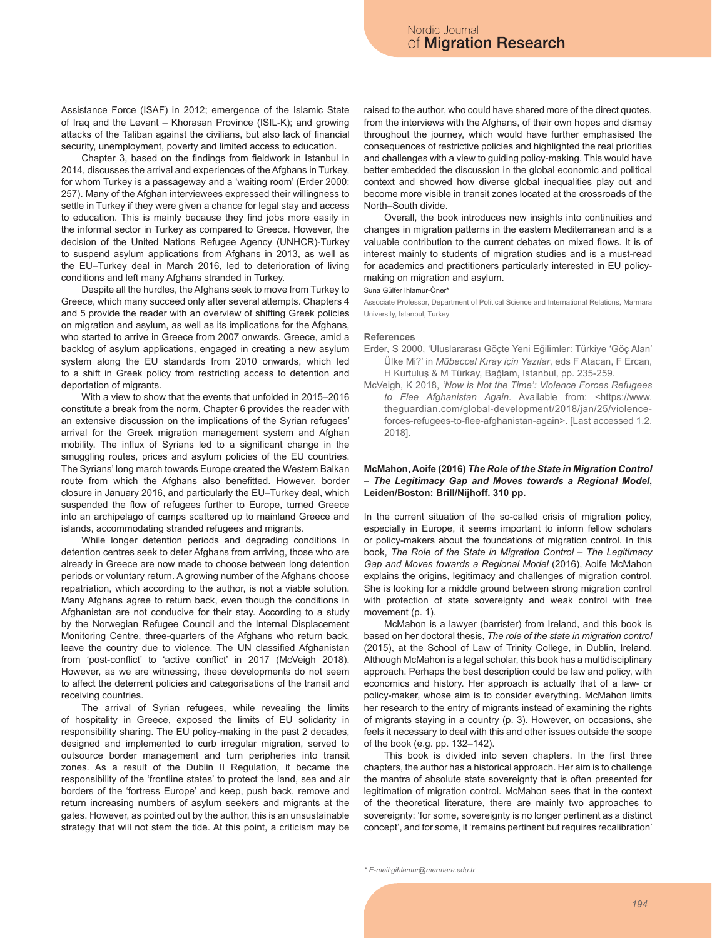Assistance Force (ISAF) in 2012; emergence of the Islamic State of Iraq and the Levant – Khorasan Province (ISIL-K); and growing attacks of the Taliban against the civilians, but also lack of financial security, unemployment, poverty and limited access to education.

Chapter 3, based on the findings from fieldwork in Istanbul in 2014, discusses the arrival and experiences of the Afghans in Turkey, for whom Turkey is a passageway and a 'waiting room' (Erder 2000: 257). Many of the Afghan interviewees expressed their willingness to settle in Turkey if they were given a chance for legal stay and access to education. This is mainly because they find jobs more easily in the informal sector in Turkey as compared to Greece. However, the decision of the United Nations Refugee Agency (UNHCR)-Turkey to suspend asylum applications from Afghans in 2013, as well as the EU–Turkey deal in March 2016, led to deterioration of living conditions and left many Afghans stranded in Turkey.

Despite all the hurdles, the Afghans seek to move from Turkey to Greece, which many succeed only after several attempts. Chapters 4 and 5 provide the reader with an overview of shifting Greek policies on migration and asylum, as well as its implications for the Afghans, who started to arrive in Greece from 2007 onwards. Greece, amid a backlog of asylum applications, engaged in creating a new asylum system along the EU standards from 2010 onwards, which led to a shift in Greek policy from restricting access to detention and deportation of migrants.

With a view to show that the events that unfolded in 2015–2016 constitute a break from the norm, Chapter 6 provides the reader with an extensive discussion on the implications of the Syrian refugees' arrival for the Greek migration management system and Afghan mobility. The influx of Syrians led to a significant change in the smuggling routes, prices and asylum policies of the EU countries. The Syrians' long march towards Europe created the Western Balkan route from which the Afghans also benefitted. However, border closure in January 2016, and particularly the EU–Turkey deal, which suspended the flow of refugees further to Europe, turned Greece into an archipelago of camps scattered up to mainland Greece and islands, accommodating stranded refugees and migrants.

While longer detention periods and degrading conditions in detention centres seek to deter Afghans from arriving, those who are already in Greece are now made to choose between long detention periods or voluntary return. A growing number of the Afghans choose repatriation, which according to the author, is not a viable solution. Many Afghans agree to return back, even though the conditions in Afghanistan are not conducive for their stay. According to a study by the Norwegian Refugee Council and the Internal Displacement Monitoring Centre, three-quarters of the Afghans who return back, leave the country due to violence. The UN classified Afghanistan from 'post-conflict' to 'active conflict' in 2017 (McVeigh 2018). However, as we are witnessing, these developments do not seem to affect the deterrent policies and categorisations of the transit and receiving countries.

The arrival of Syrian refugees, while revealing the limits of hospitality in Greece, exposed the limits of EU solidarity in responsibility sharing. The EU policy-making in the past 2 decades, designed and implemented to curb irregular migration, served to outsource border management and turn peripheries into transit zones. As a result of the Dublin II Regulation, it became the responsibility of the 'frontline states' to protect the land, sea and air borders of the 'fortress Europe' and keep, push back, remove and return increasing numbers of asylum seekers and migrants at the gates. However, as pointed out by the author, this is an unsustainable strategy that will not stem the tide. At this point, a criticism may be raised to the author, who could have shared more of the direct quotes, from the interviews with the Afghans, of their own hopes and dismay throughout the journey, which would have further emphasised the consequences of restrictive policies and highlighted the real priorities and challenges with a view to guiding policy-making. This would have better embedded the discussion in the global economic and political context and showed how diverse global inequalities play out and become more visible in transit zones located at the crossroads of the North–South divide.

Overall, the book introduces new insights into continuities and changes in migration patterns in the eastern Mediterranean and is a valuable contribution to the current debates on mixed flows. It is of interest mainly to students of migration studies and is a must-read for academics and practitioners particularly interested in EU policymaking on migration and asylum.

## Suna Gülfer Ihlamur-Öner\*

Associate Professor, Department of Political Science and International Relations, Marmara University, Istanbul, Turkey

## **References**

- Erder, S 2000, 'Uluslararası Göçte Yeni Eğilimler: Türkiye 'Göç Alan' Ülke Mi?' in *Mübeccel Kıray için Yazılar*, eds F Atacan, F Ercan, H Kurtuluş & M Türkay, Bağlam, Istanbul, pp. 235-259.
- McVeigh, K 2018, *'Now is Not the Time': Violence Forces Refugees to Flee Afghanistan Again*. Available from: <https://www. theguardian.com/global-development/2018/jan/25/violenceforces-refugees-to-flee-afghanistan-again>. [Last accessed 1.2. 2018].

# **McMahon, Aoife (2016)** *The Role of the State in Migration Control – The Legitimacy Gap and Moves towards a Regional Model***, Leiden/Boston: Brill/Nijhoff. 310 pp.**

In the current situation of the so-called crisis of migration policy, especially in Europe, it seems important to inform fellow scholars or policy-makers about the foundations of migration control. In this book, *The Role of the State in Migration Control – The Legitimacy Gap and Moves towards a Regional Model* (2016), Aoife McMahon explains the origins, legitimacy and challenges of migration control. She is looking for a middle ground between strong migration control with protection of state sovereignty and weak control with free movement (p. 1).

McMahon is a lawyer (barrister) from Ireland, and this book is based on her doctoral thesis, *The role of the state in migration control* (2015), at the School of Law of Trinity College, in Dublin, Ireland. Although McMahon is a legal scholar, this book has a multidisciplinary approach. Perhaps the best description could be law and policy, with economics and history. Her approach is actually that of a law- or policy-maker, whose aim is to consider everything. McMahon limits her research to the entry of migrants instead of examining the rights of migrants staying in a country (p. 3). However, on occasions, she feels it necessary to deal with this and other issues outside the scope of the book (e.g. pp. 132–142).

This book is divided into seven chapters. In the first three chapters, the author has a historical approach. Her aim is to challenge the mantra of absolute state sovereignty that is often presented for legitimation of migration control. McMahon sees that in the context of the theoretical literature, there are mainly two approaches to sovereignty: 'for some, sovereignty is no longer pertinent as a distinct concept', and for some, it 'remains pertinent but requires recalibration'

*<sup>\*</sup> E-mail:gihlamur@marmara.edu.tr*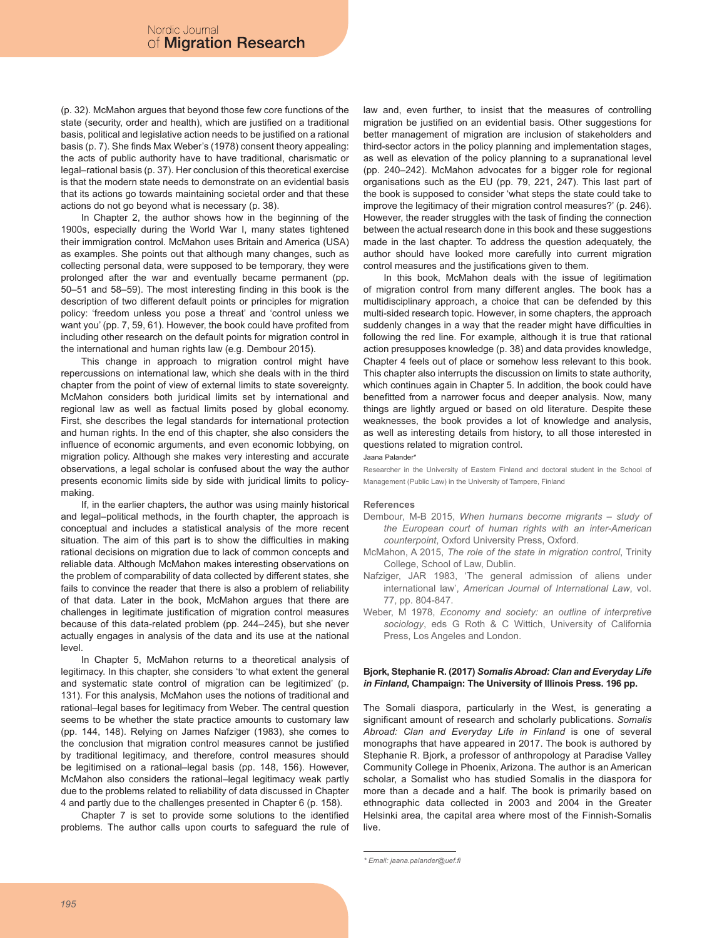(p. 32). McMahon argues that beyond those few core functions of the state (security, order and health), which are justified on a traditional basis, political and legislative action needs to be justified on a rational basis (p. 7). She finds Max Weber's (1978) consent theory appealing: the acts of public authority have to have traditional, charismatic or legal–rational basis (p. 37). Her conclusion of this theoretical exercise is that the modern state needs to demonstrate on an evidential basis that its actions go towards maintaining societal order and that these actions do not go beyond what is necessary (p. 38).

In Chapter 2, the author shows how in the beginning of the 1900s, especially during the World War I, many states tightened their immigration control. McMahon uses Britain and America (USA) as examples. She points out that although many changes, such as collecting personal data, were supposed to be temporary, they were prolonged after the war and eventually became permanent (pp. 50–51 and 58–59). The most interesting finding in this book is the description of two different default points or principles for migration policy: 'freedom unless you pose a threat' and 'control unless we want you' (pp. 7, 59, 61). However, the book could have profited from including other research on the default points for migration control in the international and human rights law (e.g. Dembour 2015).

This change in approach to migration control might have repercussions on international law, which she deals with in the third chapter from the point of view of external limits to state sovereignty. McMahon considers both juridical limits set by international and regional law as well as factual limits posed by global economy. First, she describes the legal standards for international protection and human rights. In the end of this chapter, she also considers the influence of economic arguments, and even economic lobbying, on migration policy. Although she makes very interesting and accurate observations, a legal scholar is confused about the way the author presents economic limits side by side with juridical limits to policymaking.

If, in the earlier chapters, the author was using mainly historical and legal–political methods, in the fourth chapter, the approach is conceptual and includes a statistical analysis of the more recent situation. The aim of this part is to show the difficulties in making rational decisions on migration due to lack of common concepts and reliable data. Although McMahon makes interesting observations on the problem of comparability of data collected by different states, she fails to convince the reader that there is also a problem of reliability of that data. Later in the book, McMahon argues that there are challenges in legitimate justification of migration control measures because of this data-related problem (pp. 244–245), but she never actually engages in analysis of the data and its use at the national level.

In Chapter 5, McMahon returns to a theoretical analysis of legitimacy. In this chapter, she considers 'to what extent the general and systematic state control of migration can be legitimized' (p. 131). For this analysis, McMahon uses the notions of traditional and rational–legal bases for legitimacy from Weber. The central question seems to be whether the state practice amounts to customary law (pp. 144, 148). Relying on James Nafziger (1983), she comes to the conclusion that migration control measures cannot be justified by traditional legitimacy, and therefore, control measures should be legitimised on a rational–legal basis (pp. 148, 156). However, McMahon also considers the rational–legal legitimacy weak partly due to the problems related to reliability of data discussed in Chapter 4 and partly due to the challenges presented in Chapter 6 (p. 158).

Chapter 7 is set to provide some solutions to the identified problems. The author calls upon courts to safeguard the rule of law and, even further, to insist that the measures of controlling migration be justified on an evidential basis. Other suggestions for better management of migration are inclusion of stakeholders and third-sector actors in the policy planning and implementation stages, as well as elevation of the policy planning to a supranational level (pp. 240–242). McMahon advocates for a bigger role for regional organisations such as the EU (pp. 79, 221, 247). This last part of the book is supposed to consider 'what steps the state could take to improve the legitimacy of their migration control measures?' (p. 246). However, the reader struggles with the task of finding the connection between the actual research done in this book and these suggestions made in the last chapter. To address the question adequately, the author should have looked more carefully into current migration control measures and the justifications given to them.

In this book, McMahon deals with the issue of legitimation of migration control from many different angles. The book has a multidisciplinary approach, a choice that can be defended by this multi-sided research topic. However, in some chapters, the approach suddenly changes in a way that the reader might have difficulties in following the red line. For example, although it is true that rational action presupposes knowledge (p. 38) and data provides knowledge, Chapter 4 feels out of place or somehow less relevant to this book. This chapter also interrupts the discussion on limits to state authority, which continues again in Chapter 5. In addition, the book could have benefitted from a narrower focus and deeper analysis. Now, many things are lightly argued or based on old literature. Despite these weaknesses, the book provides a lot of knowledge and analysis, as well as interesting details from history, to all those interested in questions related to migration control.

## Jaana Palander\*

Researcher in the University of Eastern Finland and doctoral student in the School of Management (Public Law) in the University of Tampere, Finland

## **References**

- Dembour, M-B 2015, *When humans become migrants study of the European court of human rights with an inter-American counterpoint*, Oxford University Press, Oxford.
- McMahon, A 2015, *The role of the state in migration control*, Trinity College, School of Law, Dublin.
- Nafziger, JAR 1983, 'The general admission of aliens under international law', *American Journal of International Law*, vol. 77, pp. 804-847.
- Weber, M 1978, *Economy and society: an outline of interpretive sociology*, eds G Roth & C Wittich, University of California Press, Los Angeles and London.

# **Bjork, Stephanie R. (2017)** *Somalis Abroad: Clan and Everyday Life in Finland***, Champaign: The University of Illinois Press. 196 pp.**

The Somali diaspora, particularly in the West, is generating a significant amount of research and scholarly publications. *Somalis Abroad: Clan and Everyday Life in Finland* is one of several monographs that have appeared in 2017. The book is authored by Stephanie R. Bjork, a professor of anthropology at Paradise Valley Community College in Phoenix, Arizona. The author is an American scholar, a Somalist who has studied Somalis in the diaspora for more than a decade and a half. The book is primarily based on ethnographic data collected in 2003 and 2004 in the Greater Helsinki area, the capital area where most of the Finnish-Somalis live.

```
* Email: jaana.palander@uef.fi
```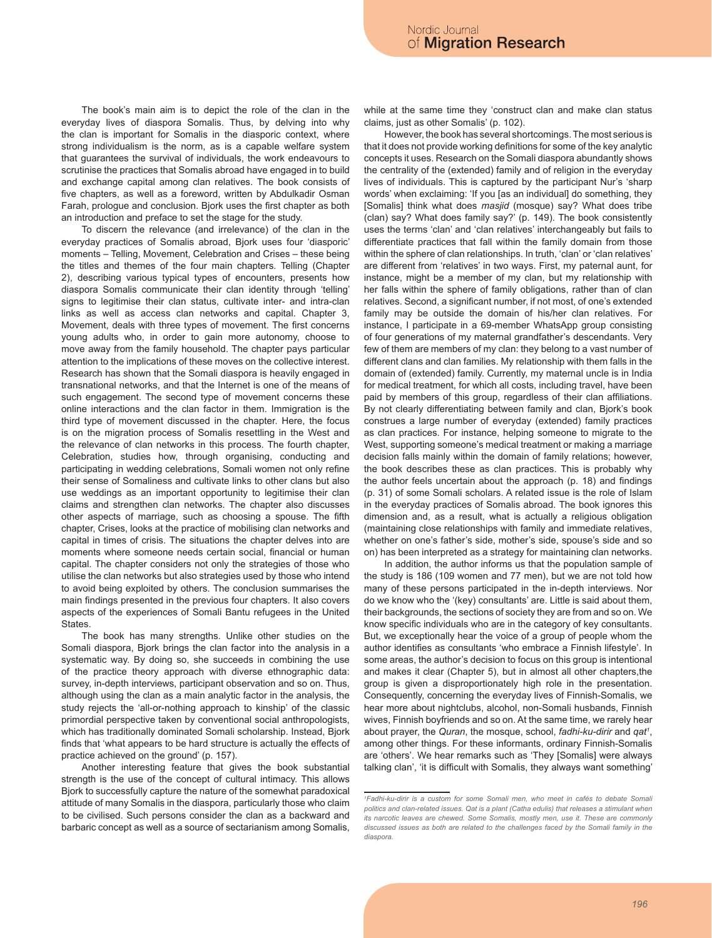The book's main aim is to depict the role of the clan in the everyday lives of diaspora Somalis. Thus, by delving into why the clan is important for Somalis in the diasporic context, where strong individualism is the norm, as is a capable welfare system that guarantees the survival of individuals, the work endeavours to scrutinise the practices that Somalis abroad have engaged in to build and exchange capital among clan relatives. The book consists of five chapters, as well as a foreword, written by Abdulkadir Osman Farah, prologue and conclusion. Bjork uses the first chapter as both an introduction and preface to set the stage for the study.

To discern the relevance (and irrelevance) of the clan in the everyday practices of Somalis abroad, Bjork uses four 'diasporic' moments – Telling, Movement, Celebration and Crises – these being the titles and themes of the four main chapters. Telling (Chapter 2), describing various typical types of encounters, presents how diaspora Somalis communicate their clan identity through 'telling' signs to legitimise their clan status, cultivate inter- and intra-clan links as well as access clan networks and capital. Chapter 3, Movement, deals with three types of movement. The first concerns young adults who, in order to gain more autonomy, choose to move away from the family household. The chapter pays particular attention to the implications of these moves on the collective interest. Research has shown that the Somali diaspora is heavily engaged in transnational networks, and that the Internet is one of the means of such engagement. The second type of movement concerns these online interactions and the clan factor in them. Immigration is the third type of movement discussed in the chapter. Here, the focus is on the migration process of Somalis resettling in the West and the relevance of clan networks in this process. The fourth chapter, Celebration, studies how, through organising, conducting and participating in wedding celebrations, Somali women not only refine their sense of Somaliness and cultivate links to other clans but also use weddings as an important opportunity to legitimise their clan claims and strengthen clan networks. The chapter also discusses other aspects of marriage, such as choosing a spouse. The fifth chapter, Crises, looks at the practice of mobilising clan networks and capital in times of crisis. The situations the chapter delves into are moments where someone needs certain social, financial or human capital. The chapter considers not only the strategies of those who utilise the clan networks but also strategies used by those who intend to avoid being exploited by others. The conclusion summarises the main findings presented in the previous four chapters. It also covers aspects of the experiences of Somali Bantu refugees in the United **States** 

The book has many strengths. Unlike other studies on the Somali diaspora, Bjork brings the clan factor into the analysis in a systematic way. By doing so, she succeeds in combining the use of the practice theory approach with diverse ethnographic data: survey, in-depth interviews, participant observation and so on. Thus, although using the clan as a main analytic factor in the analysis, the study rejects the 'all-or-nothing approach to kinship' of the classic primordial perspective taken by conventional social anthropologists, which has traditionally dominated Somali scholarship. Instead, Bjork finds that 'what appears to be hard structure is actually the effects of practice achieved on the ground' (p. 157).

Another interesting feature that gives the book substantial strength is the use of the concept of cultural intimacy. This allows Bjork to successfully capture the nature of the somewhat paradoxical attitude of many Somalis in the diaspora, particularly those who claim to be civilised. Such persons consider the clan as a backward and barbaric concept as well as a source of sectarianism among Somalis,

while at the same time they 'construct clan and make clan status claims, just as other Somalis' (p. 102).

However, the book has several shortcomings. The most serious is that it does not provide working definitions for some of the key analytic concepts it uses. Research on the Somali diaspora abundantly shows the centrality of the (extended) family and of religion in the everyday lives of individuals. This is captured by the participant Nur's 'sharp words' when exclaiming: 'If you [as an individual] do something, they [Somalis] think what does *masjid* (mosque) say? What does tribe (clan) say? What does family say?' (p. 149). The book consistently uses the terms 'clan' and 'clan relatives' interchangeably but fails to differentiate practices that fall within the family domain from those within the sphere of clan relationships. In truth, 'clan' or 'clan relatives' are different from 'relatives' in two ways. First, my paternal aunt, for instance, might be a member of my clan, but my relationship with her falls within the sphere of family obligations, rather than of clan relatives. Second, a significant number, if not most, of one's extended family may be outside the domain of his/her clan relatives. For instance, I participate in a 69-member WhatsApp group consisting of four generations of my maternal grandfather's descendants. Very few of them are members of my clan: they belong to a vast number of different clans and clan families. My relationship with them falls in the domain of (extended) family. Currently, my maternal uncle is in India for medical treatment, for which all costs, including travel, have been paid by members of this group, regardless of their clan affiliations. By not clearly differentiating between family and clan, Bjork's book construes a large number of everyday (extended) family practices as clan practices. For instance, helping someone to migrate to the West, supporting someone's medical treatment or making a marriage decision falls mainly within the domain of family relations; however, the book describes these as clan practices. This is probably why the author feels uncertain about the approach (p. 18) and findings (p. 31) of some Somali scholars. A related issue is the role of Islam in the everyday practices of Somalis abroad. The book ignores this dimension and, as a result, what is actually a religious obligation (maintaining close relationships with family and immediate relatives, whether on one's father's side, mother's side, spouse's side and so on) has been interpreted as a strategy for maintaining clan networks.

In addition, the author informs us that the population sample of the study is 186 (109 women and 77 men), but we are not told how many of these persons participated in the in-depth interviews. Nor do we know who the '(key) consultants' are. Little is said about them, their backgrounds, the sections of society they are from and so on. We know specific individuals who are in the category of key consultants. But, we exceptionally hear the voice of a group of people whom the author identifies as consultants 'who embrace a Finnish lifestyle'. In some areas, the author's decision to focus on this group is intentional and makes it clear (Chapter 5), but in almost all other chapters,the group is given a disproportionately high role in the presentation. Consequently, concerning the everyday lives of Finnish-Somalis, we hear more about nightclubs, alcohol, non-Somali husbands, Finnish wives, Finnish boyfriends and so on. At the same time, we rarely hear about prayer, the *Quran*, the mosque, school, *fadhi-ku-dirir* and *qat1* , among other things. For these informants, ordinary Finnish-Somalis are 'others'. We hear remarks such as 'They [Somalis] were always talking clan', 'it is difficult with Somalis, they always want something'

*<sup>1</sup> Fadhi-ku-dirir is a custom for some Somali men, who meet in cafés to debate Somali politics and clan-related issues. Qat is a plant (Catha edulis) that releases a stimulant when its narcotic leaves are chewed. Some Somalis, mostly men, use it. These are commonly discussed issues as both are related to the challenges faced by the Somali family in the diaspora.*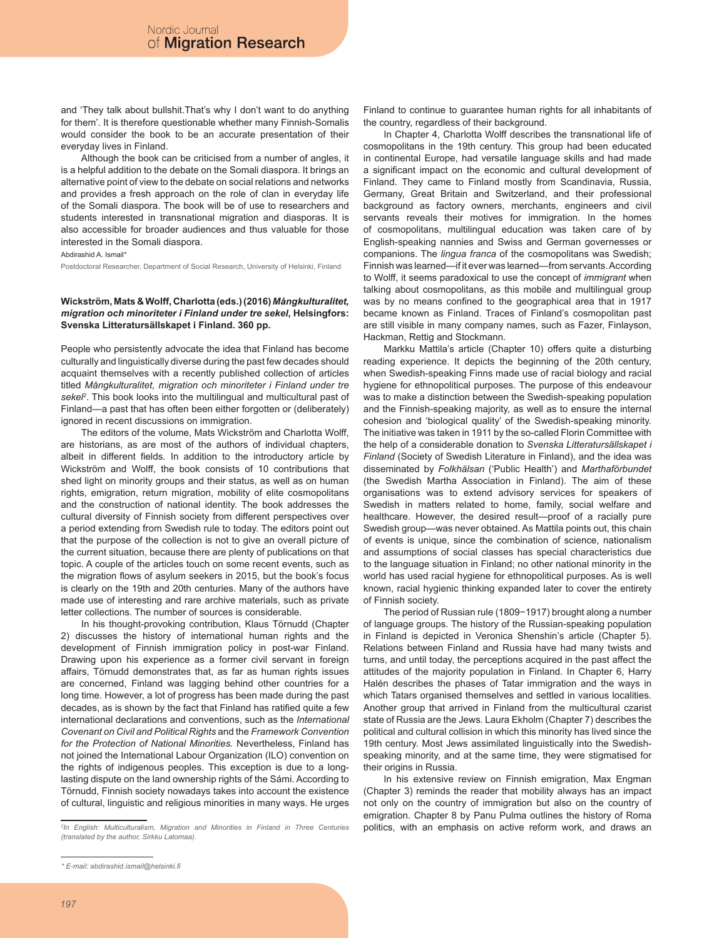and 'They talk about bullshit.That's why I don't want to do anything for them'. It is therefore questionable whether many Finnish-Somalis would consider the book to be an accurate presentation of their everyday lives in Finland.

Although the book can be criticised from a number of angles, it is a helpful addition to the debate on the Somali diaspora. It brings an alternative point of view to the debate on social relations and networks and provides a fresh approach on the role of clan in everyday life of the Somali diaspora. The book will be of use to researchers and students interested in transnational migration and diasporas. It is also accessible for broader audiences and thus valuable for those interested in the Somali diaspora.

#### Abdirashid A. Ismail\*

Postdoctoral Researcher, Department of Social Research, University of Helsinki, Finland

# **Wickström, Mats & Wolff, Charlotta (eds.) (2016)** *Mångkulturalitet, migration och minoriteter i Finland under tre sekel***, Helsingfors: Svenska Litteratursällskapet i Finland. 360 pp.**

People who persistently advocate the idea that Finland has become culturally and linguistically diverse during the past few decades should acquaint themselves with a recently published collection of articles titled *Mångkulturalitet, migration och minoriteter i Finland under tre sekel2* . This book looks into the multilingual and multicultural past of Finland—a past that has often been either forgotten or (deliberately) ignored in recent discussions on immigration.

The editors of the volume, Mats Wickström and Charlotta Wolff, are historians, as are most of the authors of individual chapters, albeit in different fields. In addition to the introductory article by Wickström and Wolff, the book consists of 10 contributions that shed light on minority groups and their status, as well as on human rights, emigration, return migration, mobility of elite cosmopolitans and the construction of national identity. The book addresses the cultural diversity of Finnish society from different perspectives over a period extending from Swedish rule to today. The editors point out that the purpose of the collection is not to give an overall picture of the current situation, because there are plenty of publications on that topic. A couple of the articles touch on some recent events, such as the migration flows of asylum seekers in 2015, but the book's focus is clearly on the 19th and 20th centuries. Many of the authors have made use of interesting and rare archive materials, such as private letter collections. The number of sources is considerable.

In his thought-provoking contribution, Klaus Törnudd (Chapter 2) discusses the history of international human rights and the development of Finnish immigration policy in post-war Finland. Drawing upon his experience as a former civil servant in foreign affairs, Törnudd demonstrates that, as far as human rights issues are concerned, Finland was lagging behind other countries for a long time. However, a lot of progress has been made during the past decades, as is shown by the fact that Finland has ratified quite a few international declarations and conventions, such as the *International Covenant on Civil and Political Rights* and the *Framework Convention for the Protection of National Minorities.* Nevertheless, Finland has not joined the International Labour Organization (ILO) convention on the rights of indigenous peoples. This exception is due to a longlasting dispute on the land ownership rights of the Sámi. According to Törnudd, Finnish society nowadays takes into account the existence of cultural, linguistic and religious minorities in many ways. He urges

Finland to continue to guarantee human rights for all inhabitants of the country, regardless of their background.

In Chapter 4, Charlotta Wolff describes the transnational life of cosmopolitans in the 19th century. This group had been educated in continental Europe, had versatile language skills and had made a significant impact on the economic and cultural development of Finland. They came to Finland mostly from Scandinavia, Russia, Germany, Great Britain and Switzerland, and their professional background as factory owners, merchants, engineers and civil servants reveals their motives for immigration. In the homes of cosmopolitans, multilingual education was taken care of by English-speaking nannies and Swiss and German governesses or companions. The *lingua franca* of the cosmopolitans was Swedish; Finnish was learned—if it ever was learned—from servants. According to Wolff, it seems paradoxical to use the concept of *immigrant* when talking about cosmopolitans, as this mobile and multilingual group was by no means confined to the geographical area that in 1917 became known as Finland. Traces of Finland's cosmopolitan past are still visible in many company names, such as Fazer, Finlayson, Hackman, Rettig and Stockmann.

Markku Mattila's article (Chapter 10) offers quite a disturbing reading experience. It depicts the beginning of the 20th century, when Swedish-speaking Finns made use of racial biology and racial hygiene for ethnopolitical purposes. The purpose of this endeavour was to make a distinction between the Swedish-speaking population and the Finnish-speaking majority, as well as to ensure the internal cohesion and 'biological quality' of the Swedish-speaking minority. The initiative was taken in 1911 by the so-called Florin Committee with the help of a considerable donation to *Svenska Litteratursällskapet i Finland* (Society of Swedish Literature in Finland), and the idea was disseminated by *Folkhälsan* ('Public Health') and *Marthaförbundet* (the Swedish Martha Association in Finland). The aim of these organisations was to extend advisory services for speakers of Swedish in matters related to home, family, social welfare and healthcare. However, the desired result—proof of a racially pure Swedish group—was never obtained. As Mattila points out, this chain of events is unique, since the combination of science, nationalism and assumptions of social classes has special characteristics due to the language situation in Finland; no other national minority in the world has used racial hygiene for ethnopolitical purposes. As is well known, racial hygienic thinking expanded later to cover the entirety of Finnish society.

The period of Russian rule (1809−1917) brought along a number of language groups. The history of the Russian-speaking population in Finland is depicted in Veronica Shenshin's article (Chapter 5). Relations between Finland and Russia have had many twists and turns, and until today, the perceptions acquired in the past affect the attitudes of the majority population in Finland. In Chapter 6, Harry Halén describes the phases of Tatar immigration and the ways in which Tatars organised themselves and settled in various localities. Another group that arrived in Finland from the multicultural czarist state of Russia are the Jews. Laura Ekholm (Chapter 7) describes the political and cultural collision in which this minority has lived since the 19th century. Most Jews assimilated linguistically into the Swedishspeaking minority, and at the same time, they were stigmatised for their origins in Russia.

In his extensive review on Finnish emigration, Max Engman (Chapter 3) reminds the reader that mobility always has an impact not only on the country of immigration but also on the country of emigration. Chapter 8 by Panu Pulma outlines the history of Roma politics, with an emphasis on active reform work, and draws an

*<sup>2</sup> In English: Multiculturalism, Migration and Minorities in Finland in Three Centuries (translated by the author, Sirkku Latomaa).*

*<sup>\*</sup> E-mail: abdirashid.ismail@helsinki.fi*